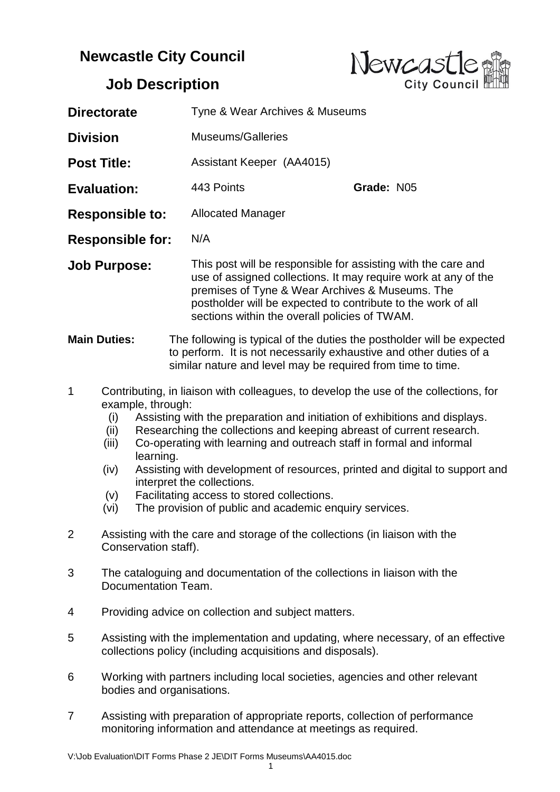## **Newcastle City Council**



## **Job Description**

| <b>Directorate</b>      |                                                                                                                                                                                                                                                                                                                                                                                                                                                                                                                                                                                                                          |  | Tyne & Wear Archives & Museums |                                                                                                                                                                                                                                                                                                     |            |  |  |
|-------------------------|--------------------------------------------------------------------------------------------------------------------------------------------------------------------------------------------------------------------------------------------------------------------------------------------------------------------------------------------------------------------------------------------------------------------------------------------------------------------------------------------------------------------------------------------------------------------------------------------------------------------------|--|--------------------------------|-----------------------------------------------------------------------------------------------------------------------------------------------------------------------------------------------------------------------------------------------------------------------------------------------------|------------|--|--|
| <b>Division</b>         |                                                                                                                                                                                                                                                                                                                                                                                                                                                                                                                                                                                                                          |  | <b>Museums/Galleries</b>       |                                                                                                                                                                                                                                                                                                     |            |  |  |
| <b>Post Title:</b>      |                                                                                                                                                                                                                                                                                                                                                                                                                                                                                                                                                                                                                          |  |                                | Assistant Keeper (AA4015)                                                                                                                                                                                                                                                                           |            |  |  |
| <b>Evaluation:</b>      |                                                                                                                                                                                                                                                                                                                                                                                                                                                                                                                                                                                                                          |  | 443 Points                     |                                                                                                                                                                                                                                                                                                     | Grade: N05 |  |  |
| <b>Responsible to:</b>  |                                                                                                                                                                                                                                                                                                                                                                                                                                                                                                                                                                                                                          |  |                                | <b>Allocated Manager</b>                                                                                                                                                                                                                                                                            |            |  |  |
| <b>Responsible for:</b> |                                                                                                                                                                                                                                                                                                                                                                                                                                                                                                                                                                                                                          |  | N/A                            |                                                                                                                                                                                                                                                                                                     |            |  |  |
| <b>Job Purpose:</b>     |                                                                                                                                                                                                                                                                                                                                                                                                                                                                                                                                                                                                                          |  |                                | This post will be responsible for assisting with the care and<br>use of assigned collections. It may require work at any of the<br>premises of Tyne & Wear Archives & Museums. The<br>postholder will be expected to contribute to the work of all<br>sections within the overall policies of TWAM. |            |  |  |
| <b>Main Duties:</b>     |                                                                                                                                                                                                                                                                                                                                                                                                                                                                                                                                                                                                                          |  |                                | The following is typical of the duties the postholder will be expected<br>to perform. It is not necessarily exhaustive and other duties of a<br>similar nature and level may be required from time to time.                                                                                         |            |  |  |
| $\mathbf 1$             | Contributing, in liaison with colleagues, to develop the use of the collections, for<br>example, through:<br>Assisting with the preparation and initiation of exhibitions and displays.<br>(i)<br>Researching the collections and keeping abreast of current research.<br>(ii)<br>Co-operating with learning and outreach staff in formal and informal<br>(iii)<br>learning.<br>Assisting with development of resources, printed and digital to support and<br>(iv)<br>interpret the collections.<br>(v)<br>Facilitating access to stored collections.<br>The provision of public and academic enquiry services.<br>(vi) |  |                                |                                                                                                                                                                                                                                                                                                     |            |  |  |
| 2                       | Assisting with the care and storage of the collections (in liaison with the<br>Conservation staff).                                                                                                                                                                                                                                                                                                                                                                                                                                                                                                                      |  |                                |                                                                                                                                                                                                                                                                                                     |            |  |  |
| 3                       | The cataloguing and documentation of the collections in liaison with the<br>Documentation Team.                                                                                                                                                                                                                                                                                                                                                                                                                                                                                                                          |  |                                |                                                                                                                                                                                                                                                                                                     |            |  |  |
| 4                       | Providing advice on collection and subject matters.                                                                                                                                                                                                                                                                                                                                                                                                                                                                                                                                                                      |  |                                |                                                                                                                                                                                                                                                                                                     |            |  |  |
| 5                       | Assisting with the implementation and updating, where necessary, of an effective<br>collections policy (including acquisitions and disposals).                                                                                                                                                                                                                                                                                                                                                                                                                                                                           |  |                                |                                                                                                                                                                                                                                                                                                     |            |  |  |
| 6                       | Working with partners including local societies, agencies and other relevant<br>bodies and organisations.                                                                                                                                                                                                                                                                                                                                                                                                                                                                                                                |  |                                |                                                                                                                                                                                                                                                                                                     |            |  |  |
| 7                       |                                                                                                                                                                                                                                                                                                                                                                                                                                                                                                                                                                                                                          |  |                                | Assisting with preparation of appropriate reports, collection of performance<br>monitoring information and attendance at meetings as required.                                                                                                                                                      |            |  |  |